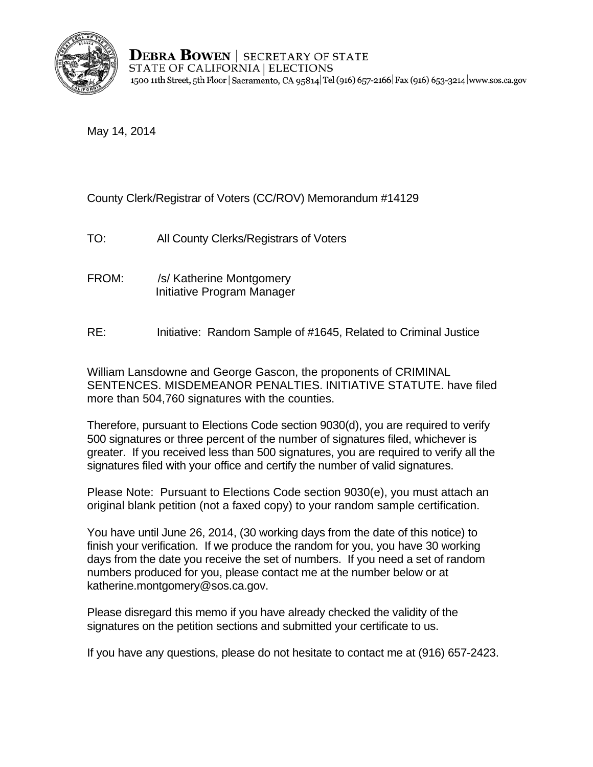

**DEBRA BOWEN** SECRETARY OF STATE STATE OF CALIFORNIA | ELECTIONS 1500 11th Street, 5th Floor | Sacramento, CA 95814 Tel (916) 657-2166 | Fax (916) 653-3214 | www.sos.ca.gov

May 14, 2014

County Clerk/Registrar of Voters (CC/ROV) Memorandum #14129

TO: All County Clerks/Registrars of Voters

- FROM: /s/ Katherine Montgomery Initiative Program Manager
- RE: Initiative: Random Sample of #1645, Related to Criminal Justice

William Lansdowne and George Gascon, the proponents of CRIMINAL SENTENCES. MISDEMEANOR PENALTIES. INITIATIVE STATUTE. have filed more than 504,760 signatures with the counties.

Therefore, pursuant to Elections Code section 9030(d), you are required to verify 500 signatures or three percent of the number of signatures filed, whichever is greater. If you received less than 500 signatures, you are required to verify all the signatures filed with your office and certify the number of valid signatures.

Please Note: Pursuant to Elections Code section 9030(e), you must attach an original blank petition (not a faxed copy) to your random sample certification.

You have until June 26, 2014, (30 working days from the date of this notice) to finish your verification. If we produce the random for you, you have 30 working days from the date you receive the set of numbers. If you need a set of random numbers produced for you, please contact me at the number below or at katherine.montgomery@sos.ca.gov.

Please disregard this memo if you have already checked the validity of the signatures on the petition sections and submitted your certificate to us.

If you have any questions, please do not hesitate to contact me at (916) 657-2423.